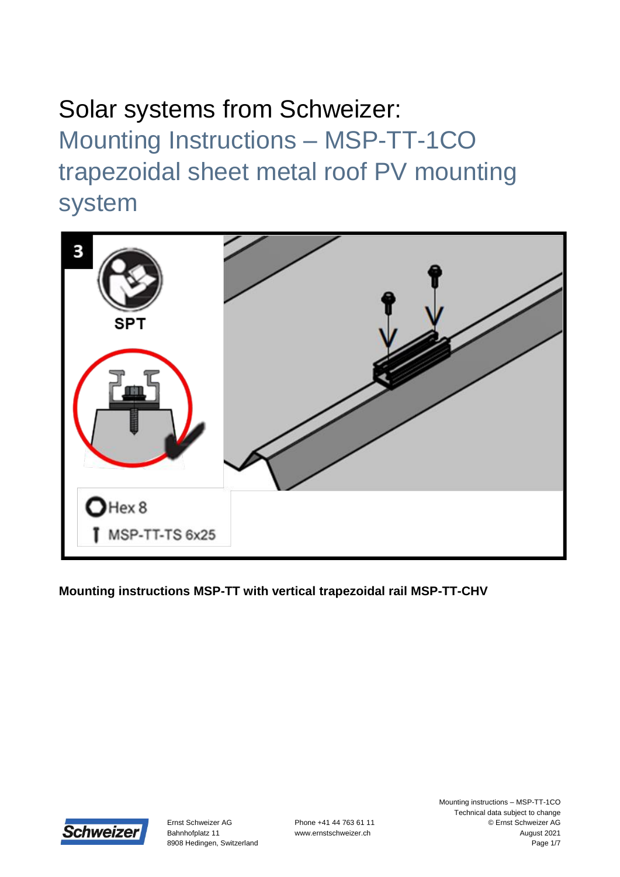

**Mounting instructions MSP-TT with vertical trapezoidal rail MSP-TT-CHV**

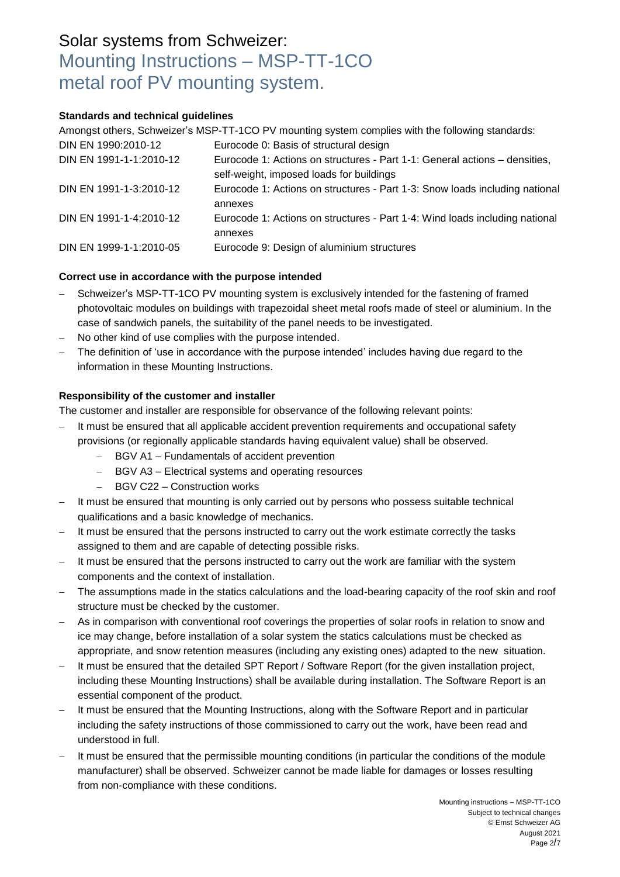#### **Standards and technical guidelines**

Amongst others, Schweizer's MSP-TT-1CO PV mounting system complies with the following standards:

| DIN EN 1990:2010-12     | Eurocode 0: Basis of structural design                                                                                 |
|-------------------------|------------------------------------------------------------------------------------------------------------------------|
| DIN EN 1991-1-1:2010-12 | Eurocode 1: Actions on structures - Part 1-1: General actions – densities,<br>self-weight, imposed loads for buildings |
| DIN EN 1991-1-3:2010-12 | Eurocode 1: Actions on structures - Part 1-3: Snow loads including national<br>annexes                                 |
| DIN EN 1991-1-4:2010-12 | Eurocode 1: Actions on structures - Part 1-4: Wind loads including national<br>annexes                                 |
| DIN EN 1999-1-1:2010-05 | Eurocode 9: Design of aluminium structures                                                                             |

### **Correct use in accordance with the purpose intended**

- Schweizer's MSP-TT-1CO PV mounting system is exclusively intended for the fastening of framed photovoltaic modules on buildings with trapezoidal sheet metal roofs made of steel or aluminium. In the case of sandwich panels, the suitability of the panel needs to be investigated.
- No other kind of use complies with the purpose intended.
- The definition of 'use in accordance with the purpose intended' includes having due regard to the information in these Mounting Instructions.

### **Responsibility of the customer and installer**

The customer and installer are responsible for observance of the following relevant points:

- It must be ensured that all applicable accident prevention requirements and occupational safety provisions (or regionally applicable standards having equivalent value) shall be observed.
	- BGV A1 Fundamentals of accident prevention
	- BGV A3 Electrical systems and operating resources
	- BGV C22 Construction works
- It must be ensured that mounting is only carried out by persons who possess suitable technical qualifications and a basic knowledge of mechanics.
- It must be ensured that the persons instructed to carry out the work estimate correctly the tasks assigned to them and are capable of detecting possible risks.
- It must be ensured that the persons instructed to carry out the work are familiar with the system components and the context of installation.
- The assumptions made in the statics calculations and the load-bearing capacity of the roof skin and roof structure must be checked by the customer.
- As in comparison with conventional roof coverings the properties of solar roofs in relation to snow and ice may change, before installation of a solar system the statics calculations must be checked as appropriate, and snow retention measures (including any existing ones) adapted to the new situation.
- It must be ensured that the detailed SPT Report / Software Report (for the given installation project, including these Mounting Instructions) shall be available during installation. The Software Report is an essential component of the product.
- It must be ensured that the Mounting Instructions, along with the Software Report and in particular including the safety instructions of those commissioned to carry out the work, have been read and understood in full.
- It must be ensured that the permissible mounting conditions (in particular the conditions of the module manufacturer) shall be observed. Schweizer cannot be made liable for damages or losses resulting from non-compliance with these conditions.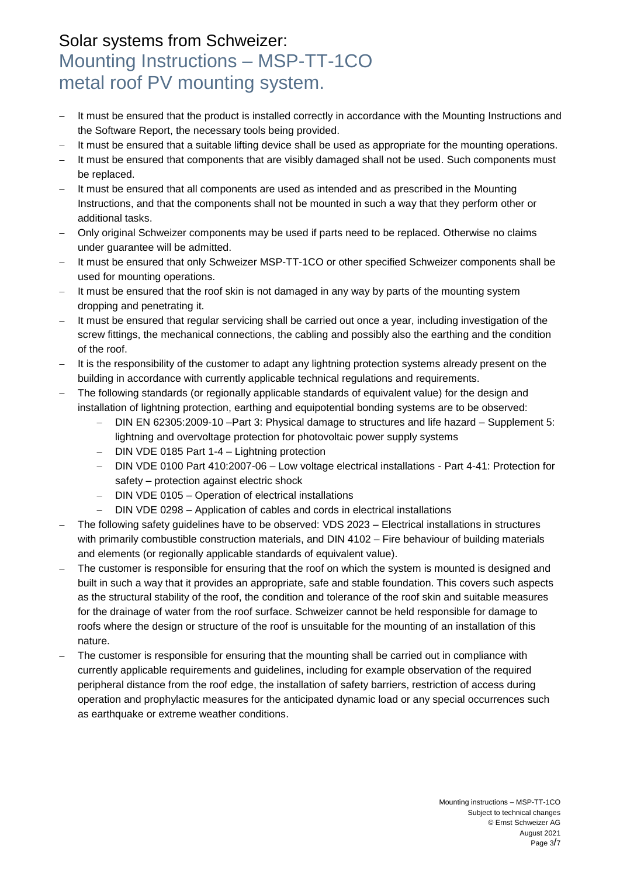- It must be ensured that the product is installed correctly in accordance with the Mounting Instructions and the Software Report, the necessary tools being provided.
- It must be ensured that a suitable lifting device shall be used as appropriate for the mounting operations.
- It must be ensured that components that are visibly damaged shall not be used. Such components must be replaced.
- It must be ensured that all components are used as intended and as prescribed in the Mounting Instructions, and that the components shall not be mounted in such a way that they perform other or additional tasks.
- Only original Schweizer components may be used if parts need to be replaced. Otherwise no claims under guarantee will be admitted.
- It must be ensured that only Schweizer MSP-TT-1CO or other specified Schweizer components shall be used for mounting operations.
- It must be ensured that the roof skin is not damaged in any way by parts of the mounting system dropping and penetrating it.
- It must be ensured that regular servicing shall be carried out once a year, including investigation of the screw fittings, the mechanical connections, the cabling and possibly also the earthing and the condition of the roof.
- It is the responsibility of the customer to adapt any lightning protection systems already present on the building in accordance with currently applicable technical regulations and requirements.
- The following standards (or regionally applicable standards of equivalent value) for the design and installation of lightning protection, earthing and equipotential bonding systems are to be observed:
	- DIN EN 62305:2009-10 –Part 3: Physical damage to structures and life hazard Supplement 5: lightning and overvoltage protection for photovoltaic power supply systems
	- DIN VDE 0185 Part 1-4 Lightning protection
	- DIN VDE 0100 Part 410:2007-06 Low voltage electrical installations Part 4-41: Protection for safety – protection against electric shock
	- DIN VDE 0105 Operation of electrical installations
	- DIN VDE 0298 Application of cables and cords in electrical installations
- The following safety guidelines have to be observed: VDS 2023 Electrical installations in structures with primarily combustible construction materials, and DIN 4102 – Fire behaviour of building materials and elements (or regionally applicable standards of equivalent value).
- The customer is responsible for ensuring that the roof on which the system is mounted is designed and built in such a way that it provides an appropriate, safe and stable foundation. This covers such aspects as the structural stability of the roof, the condition and tolerance of the roof skin and suitable measures for the drainage of water from the roof surface. Schweizer cannot be held responsible for damage to roofs where the design or structure of the roof is unsuitable for the mounting of an installation of this nature.
- The customer is responsible for ensuring that the mounting shall be carried out in compliance with currently applicable requirements and guidelines, including for example observation of the required peripheral distance from the roof edge, the installation of safety barriers, restriction of access during operation and prophylactic measures for the anticipated dynamic load or any special occurrences such as earthquake or extreme weather conditions.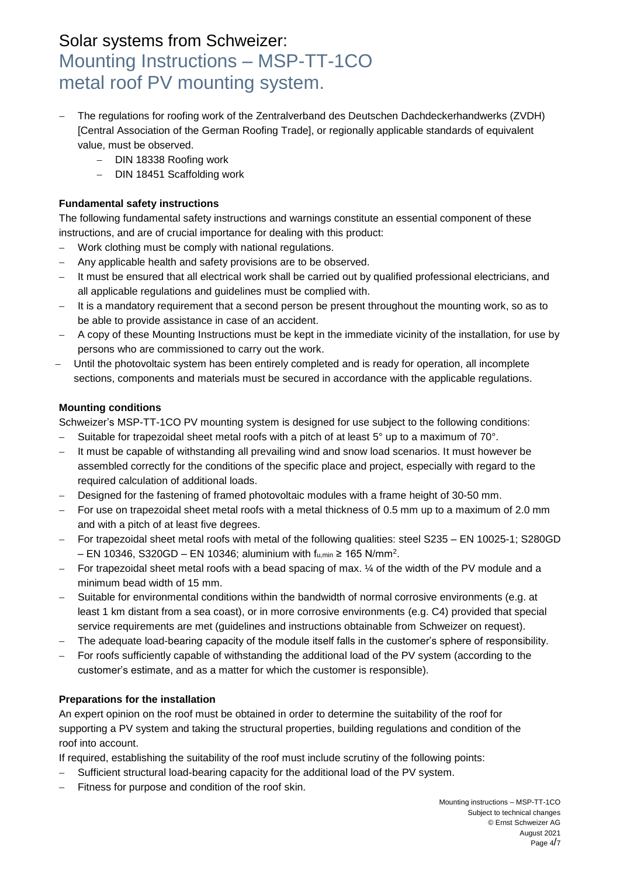- The regulations for roofing work of the Zentralverband des Deutschen Dachdeckerhandwerks (ZVDH) [Central Association of the German Roofing Trade], or regionally applicable standards of equivalent value, must be observed.
	- DIN 18338 Roofing work
	- DIN 18451 Scaffolding work

#### **Fundamental safety instructions**

The following fundamental safety instructions and warnings constitute an essential component of these instructions, and are of crucial importance for dealing with this product:

- Work clothing must be comply with national regulations.
- Any applicable health and safety provisions are to be observed.
- It must be ensured that all electrical work shall be carried out by qualified professional electricians, and all applicable regulations and guidelines must be complied with.
- It is a mandatory requirement that a second person be present throughout the mounting work, so as to be able to provide assistance in case of an accident.
- A copy of these Mounting Instructions must be kept in the immediate vicinity of the installation, for use by persons who are commissioned to carry out the work.
- Until the photovoltaic system has been entirely completed and is ready for operation, all incomplete sections, components and materials must be secured in accordance with the applicable regulations.

#### **Mounting conditions**

Schweizer's MSP-TT-1CO PV mounting system is designed for use subject to the following conditions:

- $-$  Suitable for trapezoidal sheet metal roofs with a pitch of at least 5° up to a maximum of 70°.
- It must be capable of withstanding all prevailing wind and snow load scenarios. It must however be assembled correctly for the conditions of the specific place and project, especially with regard to the required calculation of additional loads.
- Designed for the fastening of framed photovoltaic modules with a frame height of 30-50 mm.
- For use on trapezoidal sheet metal roofs with a metal thickness of 0.5 mm up to a maximum of 2.0 mm and with a pitch of at least five degrees.
- For trapezoidal sheet metal roofs with metal of the following qualities: steel S235 EN 10025-1; S280GD  $-$  EN 10346, S320GD  $-$  EN 10346; aluminium with fս,min ≥ 165 N/mm².
- $-$  For trapezoidal sheet metal roofs with a bead spacing of max.  $\frac{1}{4}$  of the width of the PV module and a minimum bead width of 15 mm.
- Suitable for environmental conditions within the bandwidth of normal corrosive environments (e.g. at least 1 km distant from a sea coast), or in more corrosive environments (e.g. C4) provided that special service requirements are met (guidelines and instructions obtainable from Schweizer on request).
- The adequate load-bearing capacity of the module itself falls in the customer's sphere of responsibility.
- For roofs sufficiently capable of withstanding the additional load of the PV system (according to the customer's estimate, and as a matter for which the customer is responsible).

#### **Preparations for the installation**

An expert opinion on the roof must be obtained in order to determine the suitability of the roof for supporting a PV system and taking the structural properties, building regulations and condition of the roof into account.

If required, establishing the suitability of the roof must include scrutiny of the following points:

- Sufficient structural load-bearing capacity for the additional load of the PV system.
- Fitness for purpose and condition of the roof skin.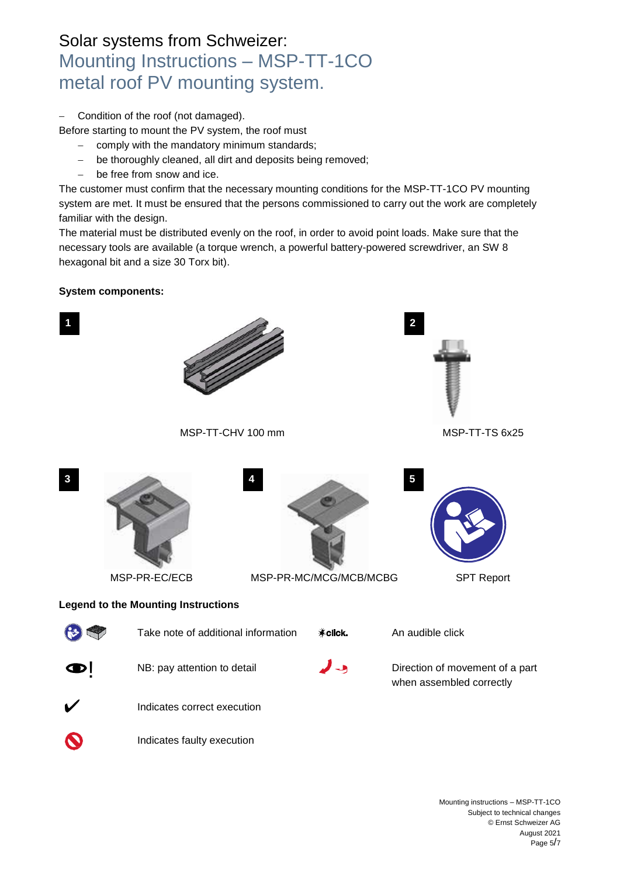Condition of the roof (not damaged).

Before starting to mount the PV system, the roof must

- comply with the mandatory minimum standards;
- be thoroughly cleaned, all dirt and deposits being removed;
- be free from snow and ice.

The customer must confirm that the necessary mounting conditions for the MSP-TT-1CO PV mounting system are met. It must be ensured that the persons commissioned to carry out the work are completely familiar with the design.

The material must be distributed evenly on the roof, in order to avoid point loads. Make sure that the necessary tools are available (a torque wrench, a powerful battery-powered screwdriver, an SW 8 hexagonal bit and a size 30 Torx bit).

#### **System components:**

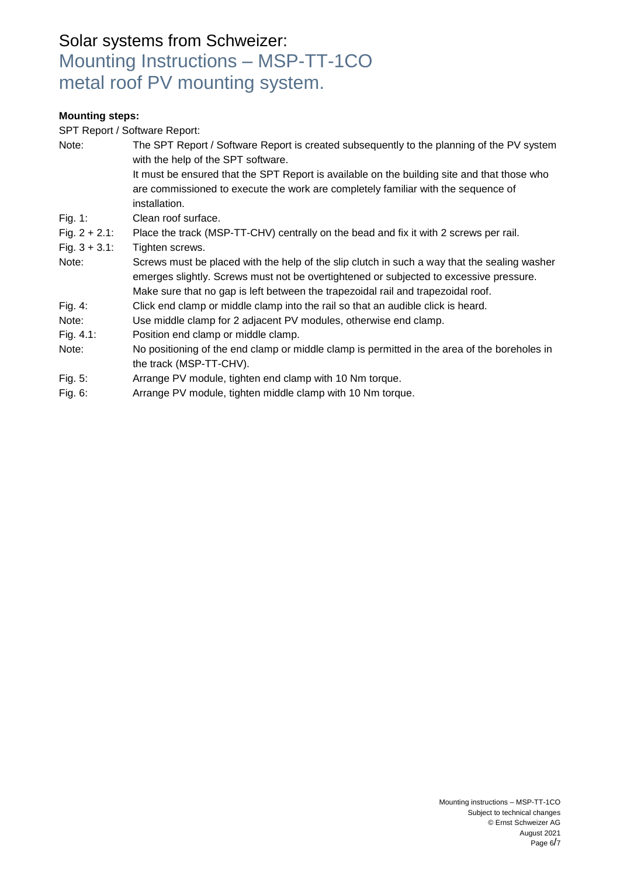#### **Mounting steps:**

SPT Report / Software Report:

| Note:                                | The SPT Report / Software Report is created subsequently to the planning of the PV system<br>with the help of the SPT software.<br>It must be ensured that the SPT Report is available on the building site and that those who<br>are commissioned to execute the work are completely familiar with the sequence of<br>installation. |
|--------------------------------------|--------------------------------------------------------------------------------------------------------------------------------------------------------------------------------------------------------------------------------------------------------------------------------------------------------------------------------------|
| Fig. 1:                              | Clean roof surface.                                                                                                                                                                                                                                                                                                                  |
| Fig. $2 + 2.1$ :<br>Fig. $3 + 3.1$ : | Place the track (MSP-TT-CHV) centrally on the bead and fix it with 2 screws per rail.<br>Tighten screws.                                                                                                                                                                                                                             |
| Note:                                | Screws must be placed with the help of the slip clutch in such a way that the sealing washer<br>emerges slightly. Screws must not be overtightened or subjected to excessive pressure.<br>Make sure that no gap is left between the trapezoidal rail and trapezoidal roof.                                                           |
| Fig. $4$ :                           | Click end clamp or middle clamp into the rail so that an audible click is heard.                                                                                                                                                                                                                                                     |
| Note:                                | Use middle clamp for 2 adjacent PV modules, otherwise end clamp.                                                                                                                                                                                                                                                                     |
| Fig. $4.1$ :                         | Position end clamp or middle clamp.                                                                                                                                                                                                                                                                                                  |
| Note:                                | No positioning of the end clamp or middle clamp is permitted in the area of the boreholes in<br>the track (MSP-TT-CHV).                                                                                                                                                                                                              |
| Fig. 5:                              | Arrange PV module, tighten end clamp with 10 Nm torque.                                                                                                                                                                                                                                                                              |
| Fig. 6:                              | Arrange PV module, tighten middle clamp with 10 Nm torque.                                                                                                                                                                                                                                                                           |